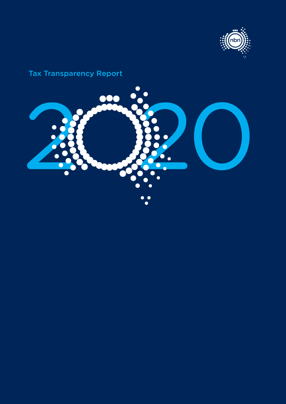

# Tax Transparency Report

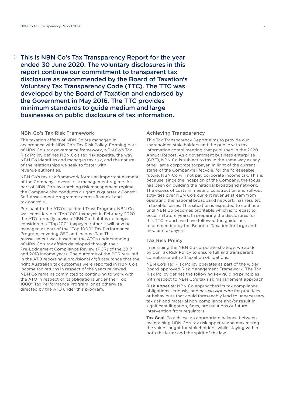This is NBN Co's Tax Transparency Report for the year ended 30 June 2020. The voluntary disclosures in this report continue our commitment to transparent tax disclosure as recommended by the Board of Taxation's Voluntary Tax Transparency Code (TTC). The TTC was developed by the Board of Taxation and endorsed by the Government in May 2016. The TTC provides minimum standards to guide medium and large businesses on public disclosure of tax information.

#### NBN Co's Tax Risk Framework

The taxation affairs of NBN Co are managed in accordance with NBN Co's Tax Risk Policy. Forming part of NBN Co's tax governance framework, NBN Co's Tax Risk Policy defines NBN Co's tax risk appetite, the way NBN Co identifies and manages tax risk, and the nature of the relationships we seek to foster with revenue authorities.

NBN Co's tax risk framework forms an important element of the Company's overall risk management regime. As part of NBN Co's overarching risk management regime, the Company also conducts a rigorous quarterly Control Self-Assessment programme across financial and tax controls.

Pursuant to the ATO's Justified Trust Program, NBN Co was considered a "Top 100" taxpayer. In February 2020 the ATO formally advised NBN Co that it is no longer considered a "Top 100" taxpayer, rather it will now be managed as part of the "Top 1000" Tax Performance Program, covering GST and Income Tax. This reassessment was based on the ATOs understanding of NBN Co's tax affairs developed through their Pre-Lodgement Compliance Review (PCR) of the 2017 and 2018 income years. The outcome of the PCR resulted in the ATO reporting a provisional *high* assurance that the right Australian tax outcomes were reported in NBN Co's income tax returns in respect of the years reviewed. NBN Co remains committed to continuing to work with the ATO in respect of its obligations under the "Top 1000" Tax Performance Program, or as otherwise directed by the ATO under this program.

# Achieving Transparency

This Tax Transparency Report aims to provide our shareholder, stakeholders and the public with tax information complimenting that published in the 2020 Annual Report. As a government business enterprise (GBE), NBN Co is subject to tax in the same way as any other large corporate taxpayer. In light of the current stage of the Company's lifecycle, for the foreseeable future, NBN Co will not pay corporate income tax. This is because, since the inception of the Company, the focus has been on building the national broadband network. The excess of costs in meeting construction and roll-out activities over NBN Co's current revenue stream from operating the national broadband network, has resulted in taxable losses. This situation is expected to continue until NBN Co becomes profitable which is forecast to occur in future years. In preparing the disclosures for this TTC report, we have followed the guidelines recommended by the Board of Taxation for large and medium taxpayers.

#### Tax Risk Policy

In pursuing the NBN Co corporate strategy, we abide by our Tax Risk Policy to ensure full and transparent compliance with all taxation obligations.

NBN Co's Tax Risk Policy operates as part of the wider Board-approved Risk Management Framework. The Tax Risk Policy defines the following key guiding principles with respect to NBN Co's tax risk management approach.

Risk Appetite: NBN Co approaches its tax compliance obligations seriously, and has *No Appetite* for practices or behaviours that could foreseeably lead to unnecessary tax risk and material non-compliance and/or result in significant litigation, fines, prosecutions or future intervention from regulators.

Tax Goal: To achieve an appropriate balance between maintaining NBN Co's tax risk appetite and maximising the value sought for stakeholders, while staying within both the letter and the spirit of the law.